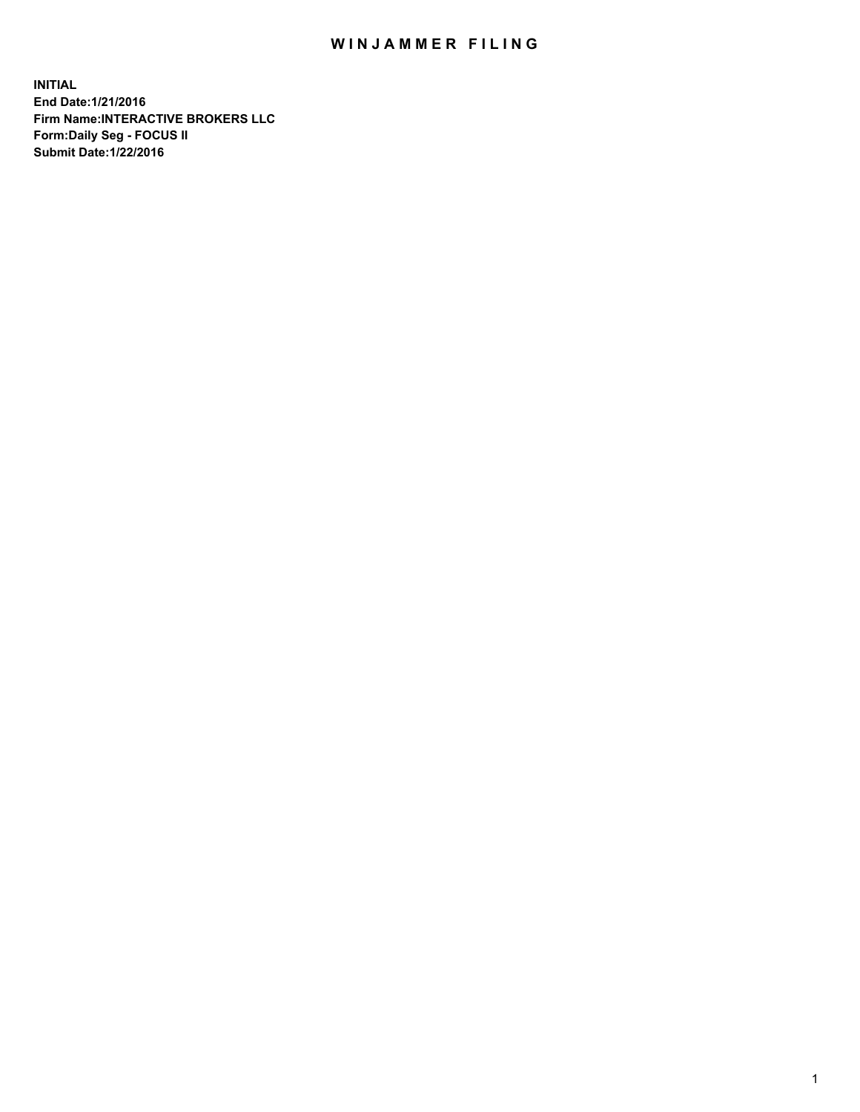## WIN JAMMER FILING

**INITIAL End Date:1/21/2016 Firm Name:INTERACTIVE BROKERS LLC Form:Daily Seg - FOCUS II Submit Date:1/22/2016**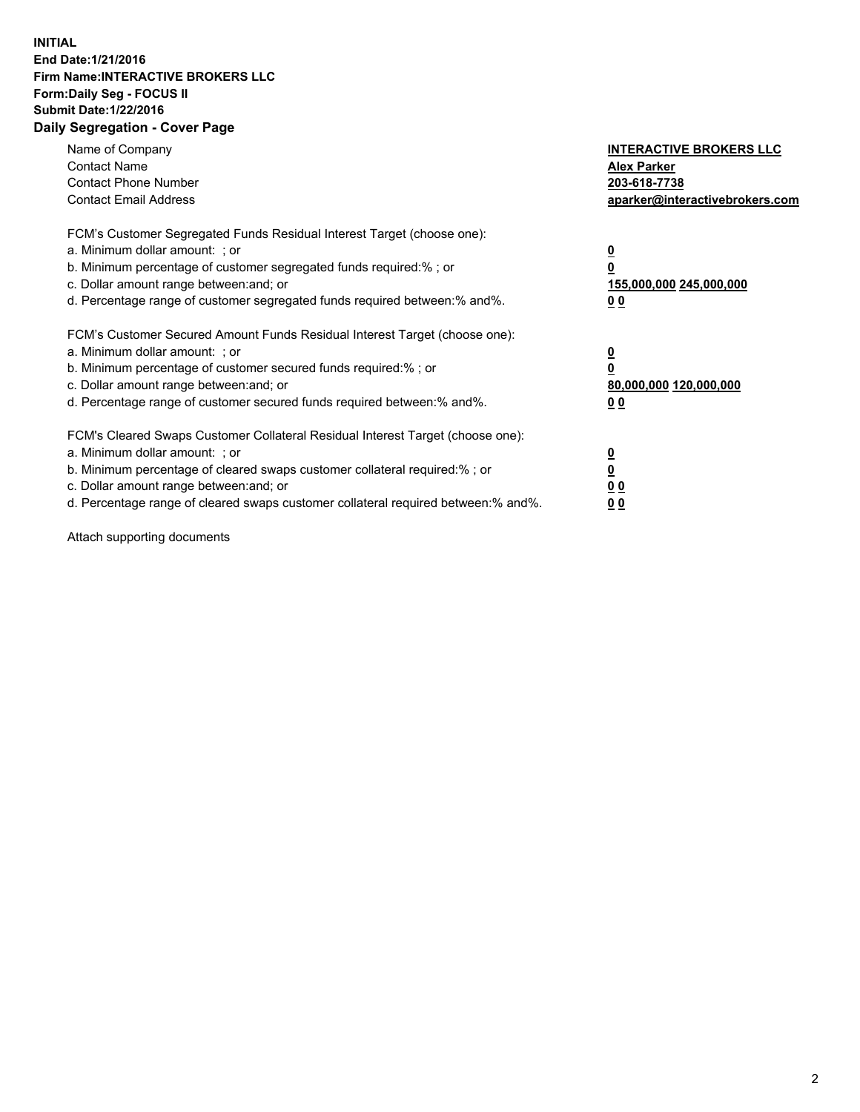## **INITIAL End Date:1/21/2016 Firm Name:INTERACTIVE BROKERS LLC Form:Daily Seg - FOCUS II Submit Date:1/22/2016 Daily Segregation - Cover Page**

| Name of Company<br><b>Contact Name</b><br><b>Contact Phone Number</b><br><b>Contact Email Address</b>                                                                                                                                                                                                                          | <b>INTERACTIVE BROKERS LLC</b><br><b>Alex Parker</b><br>203-618-7738<br>aparker@interactivebrokers.com |
|--------------------------------------------------------------------------------------------------------------------------------------------------------------------------------------------------------------------------------------------------------------------------------------------------------------------------------|--------------------------------------------------------------------------------------------------------|
| FCM's Customer Segregated Funds Residual Interest Target (choose one):<br>a. Minimum dollar amount: ; or<br>b. Minimum percentage of customer segregated funds required:% ; or<br>c. Dollar amount range between: and; or<br>d. Percentage range of customer segregated funds required between:% and%.                         | <u>0</u><br><u>155,000,000 245,000,000</u><br>00                                                       |
| FCM's Customer Secured Amount Funds Residual Interest Target (choose one):<br>a. Minimum dollar amount: ; or<br>b. Minimum percentage of customer secured funds required:%; or<br>c. Dollar amount range between: and; or<br>d. Percentage range of customer secured funds required between: % and %.                          | <u>0</u><br>80,000,000 120,000,000<br>0 <sub>0</sub>                                                   |
| FCM's Cleared Swaps Customer Collateral Residual Interest Target (choose one):<br>a. Minimum dollar amount: ; or<br>b. Minimum percentage of cleared swaps customer collateral required:% ; or<br>c. Dollar amount range between: and; or<br>d. Percentage range of cleared swaps customer collateral required between:% and%. | <u>0</u><br>0 <sub>0</sub><br><u>0 0</u>                                                               |

Attach supporting documents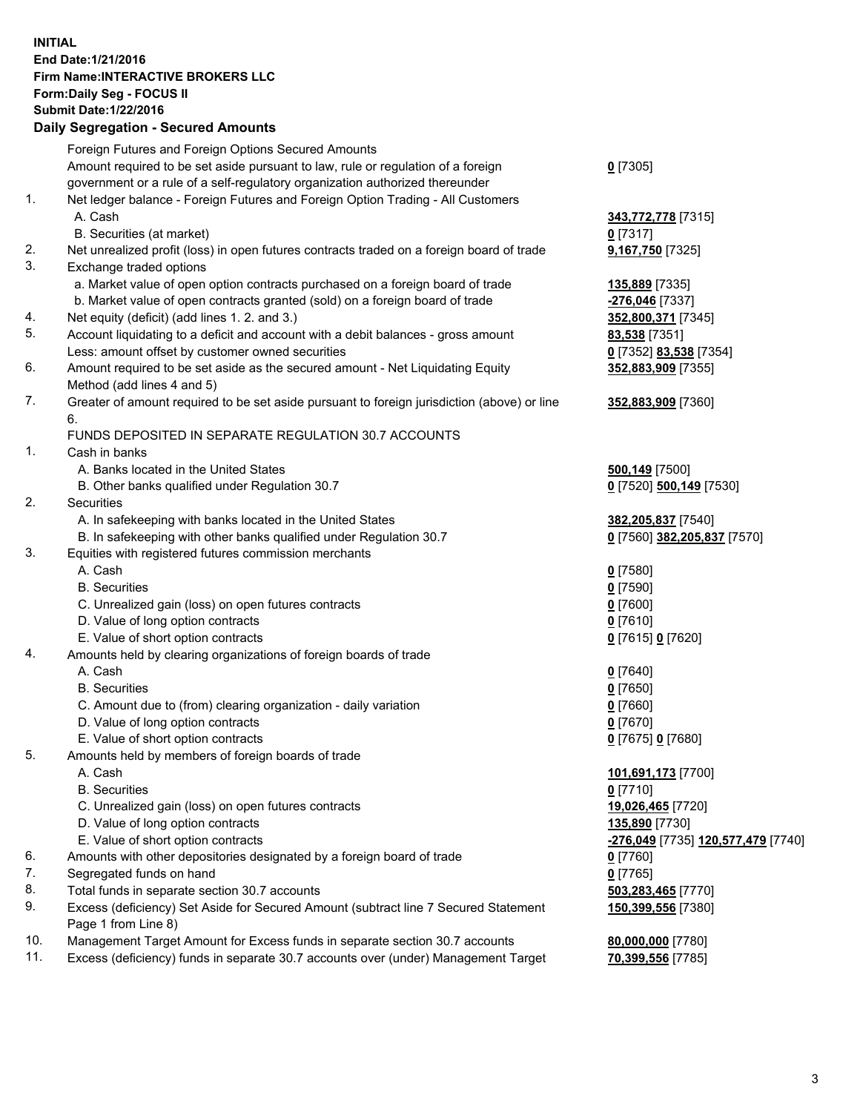## **INITIAL End Date:1/21/2016 Firm Name:INTERACTIVE BROKERS LLC Form:Daily Seg - FOCUS II Submit Date:1/22/2016 Daily Segregation - Secured Amounts**

| Foreign Futures and Foreign Options Secured Amounts                              |                                                                                                                                                                                                                                                                                                                                                                                                                                                                                                                                                                                                                                                                                                                                                                                                                                                                                                                                                                                                                                                                                                                                                                                                                                                                                                                                                                                                                                                                                                                                                                                                                                                                                                                                                                                                                                                                                                                                                                                                                                                                                                                                                                                                                 |
|----------------------------------------------------------------------------------|-----------------------------------------------------------------------------------------------------------------------------------------------------------------------------------------------------------------------------------------------------------------------------------------------------------------------------------------------------------------------------------------------------------------------------------------------------------------------------------------------------------------------------------------------------------------------------------------------------------------------------------------------------------------------------------------------------------------------------------------------------------------------------------------------------------------------------------------------------------------------------------------------------------------------------------------------------------------------------------------------------------------------------------------------------------------------------------------------------------------------------------------------------------------------------------------------------------------------------------------------------------------------------------------------------------------------------------------------------------------------------------------------------------------------------------------------------------------------------------------------------------------------------------------------------------------------------------------------------------------------------------------------------------------------------------------------------------------------------------------------------------------------------------------------------------------------------------------------------------------------------------------------------------------------------------------------------------------------------------------------------------------------------------------------------------------------------------------------------------------------------------------------------------------------------------------------------------------|
| Amount required to be set aside pursuant to law, rule or regulation of a foreign | $0$ [7305]                                                                                                                                                                                                                                                                                                                                                                                                                                                                                                                                                                                                                                                                                                                                                                                                                                                                                                                                                                                                                                                                                                                                                                                                                                                                                                                                                                                                                                                                                                                                                                                                                                                                                                                                                                                                                                                                                                                                                                                                                                                                                                                                                                                                      |
| government or a rule of a self-regulatory organization authorized thereunder     |                                                                                                                                                                                                                                                                                                                                                                                                                                                                                                                                                                                                                                                                                                                                                                                                                                                                                                                                                                                                                                                                                                                                                                                                                                                                                                                                                                                                                                                                                                                                                                                                                                                                                                                                                                                                                                                                                                                                                                                                                                                                                                                                                                                                                 |
| Net ledger balance - Foreign Futures and Foreign Option Trading - All Customers  |                                                                                                                                                                                                                                                                                                                                                                                                                                                                                                                                                                                                                                                                                                                                                                                                                                                                                                                                                                                                                                                                                                                                                                                                                                                                                                                                                                                                                                                                                                                                                                                                                                                                                                                                                                                                                                                                                                                                                                                                                                                                                                                                                                                                                 |
| A. Cash                                                                          | 343,772,778 [7315]                                                                                                                                                                                                                                                                                                                                                                                                                                                                                                                                                                                                                                                                                                                                                                                                                                                                                                                                                                                                                                                                                                                                                                                                                                                                                                                                                                                                                                                                                                                                                                                                                                                                                                                                                                                                                                                                                                                                                                                                                                                                                                                                                                                              |
|                                                                                  | $0$ [7317]                                                                                                                                                                                                                                                                                                                                                                                                                                                                                                                                                                                                                                                                                                                                                                                                                                                                                                                                                                                                                                                                                                                                                                                                                                                                                                                                                                                                                                                                                                                                                                                                                                                                                                                                                                                                                                                                                                                                                                                                                                                                                                                                                                                                      |
|                                                                                  | 9,167,750 [7325]                                                                                                                                                                                                                                                                                                                                                                                                                                                                                                                                                                                                                                                                                                                                                                                                                                                                                                                                                                                                                                                                                                                                                                                                                                                                                                                                                                                                                                                                                                                                                                                                                                                                                                                                                                                                                                                                                                                                                                                                                                                                                                                                                                                                |
|                                                                                  |                                                                                                                                                                                                                                                                                                                                                                                                                                                                                                                                                                                                                                                                                                                                                                                                                                                                                                                                                                                                                                                                                                                                                                                                                                                                                                                                                                                                                                                                                                                                                                                                                                                                                                                                                                                                                                                                                                                                                                                                                                                                                                                                                                                                                 |
|                                                                                  | 135,889 [7335]                                                                                                                                                                                                                                                                                                                                                                                                                                                                                                                                                                                                                                                                                                                                                                                                                                                                                                                                                                                                                                                                                                                                                                                                                                                                                                                                                                                                                                                                                                                                                                                                                                                                                                                                                                                                                                                                                                                                                                                                                                                                                                                                                                                                  |
|                                                                                  | -276,046 [7337]                                                                                                                                                                                                                                                                                                                                                                                                                                                                                                                                                                                                                                                                                                                                                                                                                                                                                                                                                                                                                                                                                                                                                                                                                                                                                                                                                                                                                                                                                                                                                                                                                                                                                                                                                                                                                                                                                                                                                                                                                                                                                                                                                                                                 |
|                                                                                  | 352,800,371 [7345]                                                                                                                                                                                                                                                                                                                                                                                                                                                                                                                                                                                                                                                                                                                                                                                                                                                                                                                                                                                                                                                                                                                                                                                                                                                                                                                                                                                                                                                                                                                                                                                                                                                                                                                                                                                                                                                                                                                                                                                                                                                                                                                                                                                              |
|                                                                                  | <b>83,538</b> [7351]                                                                                                                                                                                                                                                                                                                                                                                                                                                                                                                                                                                                                                                                                                                                                                                                                                                                                                                                                                                                                                                                                                                                                                                                                                                                                                                                                                                                                                                                                                                                                                                                                                                                                                                                                                                                                                                                                                                                                                                                                                                                                                                                                                                            |
|                                                                                  | 0 [7352] 83,538 [7354]                                                                                                                                                                                                                                                                                                                                                                                                                                                                                                                                                                                                                                                                                                                                                                                                                                                                                                                                                                                                                                                                                                                                                                                                                                                                                                                                                                                                                                                                                                                                                                                                                                                                                                                                                                                                                                                                                                                                                                                                                                                                                                                                                                                          |
|                                                                                  | 352,883,909 [7355]                                                                                                                                                                                                                                                                                                                                                                                                                                                                                                                                                                                                                                                                                                                                                                                                                                                                                                                                                                                                                                                                                                                                                                                                                                                                                                                                                                                                                                                                                                                                                                                                                                                                                                                                                                                                                                                                                                                                                                                                                                                                                                                                                                                              |
|                                                                                  |                                                                                                                                                                                                                                                                                                                                                                                                                                                                                                                                                                                                                                                                                                                                                                                                                                                                                                                                                                                                                                                                                                                                                                                                                                                                                                                                                                                                                                                                                                                                                                                                                                                                                                                                                                                                                                                                                                                                                                                                                                                                                                                                                                                                                 |
|                                                                                  | 352,883,909 [7360]                                                                                                                                                                                                                                                                                                                                                                                                                                                                                                                                                                                                                                                                                                                                                                                                                                                                                                                                                                                                                                                                                                                                                                                                                                                                                                                                                                                                                                                                                                                                                                                                                                                                                                                                                                                                                                                                                                                                                                                                                                                                                                                                                                                              |
|                                                                                  |                                                                                                                                                                                                                                                                                                                                                                                                                                                                                                                                                                                                                                                                                                                                                                                                                                                                                                                                                                                                                                                                                                                                                                                                                                                                                                                                                                                                                                                                                                                                                                                                                                                                                                                                                                                                                                                                                                                                                                                                                                                                                                                                                                                                                 |
|                                                                                  |                                                                                                                                                                                                                                                                                                                                                                                                                                                                                                                                                                                                                                                                                                                                                                                                                                                                                                                                                                                                                                                                                                                                                                                                                                                                                                                                                                                                                                                                                                                                                                                                                                                                                                                                                                                                                                                                                                                                                                                                                                                                                                                                                                                                                 |
|                                                                                  |                                                                                                                                                                                                                                                                                                                                                                                                                                                                                                                                                                                                                                                                                                                                                                                                                                                                                                                                                                                                                                                                                                                                                                                                                                                                                                                                                                                                                                                                                                                                                                                                                                                                                                                                                                                                                                                                                                                                                                                                                                                                                                                                                                                                                 |
|                                                                                  | 500,149 [7500]                                                                                                                                                                                                                                                                                                                                                                                                                                                                                                                                                                                                                                                                                                                                                                                                                                                                                                                                                                                                                                                                                                                                                                                                                                                                                                                                                                                                                                                                                                                                                                                                                                                                                                                                                                                                                                                                                                                                                                                                                                                                                                                                                                                                  |
|                                                                                  | 0 [7520] 500,149 [7530]                                                                                                                                                                                                                                                                                                                                                                                                                                                                                                                                                                                                                                                                                                                                                                                                                                                                                                                                                                                                                                                                                                                                                                                                                                                                                                                                                                                                                                                                                                                                                                                                                                                                                                                                                                                                                                                                                                                                                                                                                                                                                                                                                                                         |
|                                                                                  |                                                                                                                                                                                                                                                                                                                                                                                                                                                                                                                                                                                                                                                                                                                                                                                                                                                                                                                                                                                                                                                                                                                                                                                                                                                                                                                                                                                                                                                                                                                                                                                                                                                                                                                                                                                                                                                                                                                                                                                                                                                                                                                                                                                                                 |
|                                                                                  | 382,205,837 [7540]                                                                                                                                                                                                                                                                                                                                                                                                                                                                                                                                                                                                                                                                                                                                                                                                                                                                                                                                                                                                                                                                                                                                                                                                                                                                                                                                                                                                                                                                                                                                                                                                                                                                                                                                                                                                                                                                                                                                                                                                                                                                                                                                                                                              |
|                                                                                  | 0 [7560] 382,205,837 [7570]                                                                                                                                                                                                                                                                                                                                                                                                                                                                                                                                                                                                                                                                                                                                                                                                                                                                                                                                                                                                                                                                                                                                                                                                                                                                                                                                                                                                                                                                                                                                                                                                                                                                                                                                                                                                                                                                                                                                                                                                                                                                                                                                                                                     |
|                                                                                  |                                                                                                                                                                                                                                                                                                                                                                                                                                                                                                                                                                                                                                                                                                                                                                                                                                                                                                                                                                                                                                                                                                                                                                                                                                                                                                                                                                                                                                                                                                                                                                                                                                                                                                                                                                                                                                                                                                                                                                                                                                                                                                                                                                                                                 |
|                                                                                  | $0$ [7580]                                                                                                                                                                                                                                                                                                                                                                                                                                                                                                                                                                                                                                                                                                                                                                                                                                                                                                                                                                                                                                                                                                                                                                                                                                                                                                                                                                                                                                                                                                                                                                                                                                                                                                                                                                                                                                                                                                                                                                                                                                                                                                                                                                                                      |
|                                                                                  | $0$ [7590]                                                                                                                                                                                                                                                                                                                                                                                                                                                                                                                                                                                                                                                                                                                                                                                                                                                                                                                                                                                                                                                                                                                                                                                                                                                                                                                                                                                                                                                                                                                                                                                                                                                                                                                                                                                                                                                                                                                                                                                                                                                                                                                                                                                                      |
|                                                                                  | $0$ [7600]                                                                                                                                                                                                                                                                                                                                                                                                                                                                                                                                                                                                                                                                                                                                                                                                                                                                                                                                                                                                                                                                                                                                                                                                                                                                                                                                                                                                                                                                                                                                                                                                                                                                                                                                                                                                                                                                                                                                                                                                                                                                                                                                                                                                      |
|                                                                                  | $0$ [7610]                                                                                                                                                                                                                                                                                                                                                                                                                                                                                                                                                                                                                                                                                                                                                                                                                                                                                                                                                                                                                                                                                                                                                                                                                                                                                                                                                                                                                                                                                                                                                                                                                                                                                                                                                                                                                                                                                                                                                                                                                                                                                                                                                                                                      |
|                                                                                  |                                                                                                                                                                                                                                                                                                                                                                                                                                                                                                                                                                                                                                                                                                                                                                                                                                                                                                                                                                                                                                                                                                                                                                                                                                                                                                                                                                                                                                                                                                                                                                                                                                                                                                                                                                                                                                                                                                                                                                                                                                                                                                                                                                                                                 |
|                                                                                  | 0 [7615] 0 [7620]                                                                                                                                                                                                                                                                                                                                                                                                                                                                                                                                                                                                                                                                                                                                                                                                                                                                                                                                                                                                                                                                                                                                                                                                                                                                                                                                                                                                                                                                                                                                                                                                                                                                                                                                                                                                                                                                                                                                                                                                                                                                                                                                                                                               |
|                                                                                  |                                                                                                                                                                                                                                                                                                                                                                                                                                                                                                                                                                                                                                                                                                                                                                                                                                                                                                                                                                                                                                                                                                                                                                                                                                                                                                                                                                                                                                                                                                                                                                                                                                                                                                                                                                                                                                                                                                                                                                                                                                                                                                                                                                                                                 |
|                                                                                  | $0$ [7640]                                                                                                                                                                                                                                                                                                                                                                                                                                                                                                                                                                                                                                                                                                                                                                                                                                                                                                                                                                                                                                                                                                                                                                                                                                                                                                                                                                                                                                                                                                                                                                                                                                                                                                                                                                                                                                                                                                                                                                                                                                                                                                                                                                                                      |
|                                                                                  | $0$ [7650]                                                                                                                                                                                                                                                                                                                                                                                                                                                                                                                                                                                                                                                                                                                                                                                                                                                                                                                                                                                                                                                                                                                                                                                                                                                                                                                                                                                                                                                                                                                                                                                                                                                                                                                                                                                                                                                                                                                                                                                                                                                                                                                                                                                                      |
|                                                                                  | $0$ [7660]                                                                                                                                                                                                                                                                                                                                                                                                                                                                                                                                                                                                                                                                                                                                                                                                                                                                                                                                                                                                                                                                                                                                                                                                                                                                                                                                                                                                                                                                                                                                                                                                                                                                                                                                                                                                                                                                                                                                                                                                                                                                                                                                                                                                      |
|                                                                                  | $0$ [7670]                                                                                                                                                                                                                                                                                                                                                                                                                                                                                                                                                                                                                                                                                                                                                                                                                                                                                                                                                                                                                                                                                                                                                                                                                                                                                                                                                                                                                                                                                                                                                                                                                                                                                                                                                                                                                                                                                                                                                                                                                                                                                                                                                                                                      |
|                                                                                  | 0 [7675] 0 [7680]                                                                                                                                                                                                                                                                                                                                                                                                                                                                                                                                                                                                                                                                                                                                                                                                                                                                                                                                                                                                                                                                                                                                                                                                                                                                                                                                                                                                                                                                                                                                                                                                                                                                                                                                                                                                                                                                                                                                                                                                                                                                                                                                                                                               |
|                                                                                  |                                                                                                                                                                                                                                                                                                                                                                                                                                                                                                                                                                                                                                                                                                                                                                                                                                                                                                                                                                                                                                                                                                                                                                                                                                                                                                                                                                                                                                                                                                                                                                                                                                                                                                                                                                                                                                                                                                                                                                                                                                                                                                                                                                                                                 |
|                                                                                  | 101,691,173 [7700]                                                                                                                                                                                                                                                                                                                                                                                                                                                                                                                                                                                                                                                                                                                                                                                                                                                                                                                                                                                                                                                                                                                                                                                                                                                                                                                                                                                                                                                                                                                                                                                                                                                                                                                                                                                                                                                                                                                                                                                                                                                                                                                                                                                              |
|                                                                                  | $0$ [7710]                                                                                                                                                                                                                                                                                                                                                                                                                                                                                                                                                                                                                                                                                                                                                                                                                                                                                                                                                                                                                                                                                                                                                                                                                                                                                                                                                                                                                                                                                                                                                                                                                                                                                                                                                                                                                                                                                                                                                                                                                                                                                                                                                                                                      |
|                                                                                  | 19,026,465 [7720]                                                                                                                                                                                                                                                                                                                                                                                                                                                                                                                                                                                                                                                                                                                                                                                                                                                                                                                                                                                                                                                                                                                                                                                                                                                                                                                                                                                                                                                                                                                                                                                                                                                                                                                                                                                                                                                                                                                                                                                                                                                                                                                                                                                               |
|                                                                                  | 135,890 [7730]                                                                                                                                                                                                                                                                                                                                                                                                                                                                                                                                                                                                                                                                                                                                                                                                                                                                                                                                                                                                                                                                                                                                                                                                                                                                                                                                                                                                                                                                                                                                                                                                                                                                                                                                                                                                                                                                                                                                                                                                                                                                                                                                                                                                  |
|                                                                                  | -276,049 [7735] 120,577,479 [7740]                                                                                                                                                                                                                                                                                                                                                                                                                                                                                                                                                                                                                                                                                                                                                                                                                                                                                                                                                                                                                                                                                                                                                                                                                                                                                                                                                                                                                                                                                                                                                                                                                                                                                                                                                                                                                                                                                                                                                                                                                                                                                                                                                                              |
|                                                                                  | 0 [7760]                                                                                                                                                                                                                                                                                                                                                                                                                                                                                                                                                                                                                                                                                                                                                                                                                                                                                                                                                                                                                                                                                                                                                                                                                                                                                                                                                                                                                                                                                                                                                                                                                                                                                                                                                                                                                                                                                                                                                                                                                                                                                                                                                                                                        |
|                                                                                  | $0$ [7765]                                                                                                                                                                                                                                                                                                                                                                                                                                                                                                                                                                                                                                                                                                                                                                                                                                                                                                                                                                                                                                                                                                                                                                                                                                                                                                                                                                                                                                                                                                                                                                                                                                                                                                                                                                                                                                                                                                                                                                                                                                                                                                                                                                                                      |
|                                                                                  | 503,283,465 [7770]                                                                                                                                                                                                                                                                                                                                                                                                                                                                                                                                                                                                                                                                                                                                                                                                                                                                                                                                                                                                                                                                                                                                                                                                                                                                                                                                                                                                                                                                                                                                                                                                                                                                                                                                                                                                                                                                                                                                                                                                                                                                                                                                                                                              |
|                                                                                  | 150,399,556 [7380]                                                                                                                                                                                                                                                                                                                                                                                                                                                                                                                                                                                                                                                                                                                                                                                                                                                                                                                                                                                                                                                                                                                                                                                                                                                                                                                                                                                                                                                                                                                                                                                                                                                                                                                                                                                                                                                                                                                                                                                                                                                                                                                                                                                              |
|                                                                                  |                                                                                                                                                                                                                                                                                                                                                                                                                                                                                                                                                                                                                                                                                                                                                                                                                                                                                                                                                                                                                                                                                                                                                                                                                                                                                                                                                                                                                                                                                                                                                                                                                                                                                                                                                                                                                                                                                                                                                                                                                                                                                                                                                                                                                 |
|                                                                                  | 80,000,000 [7780]                                                                                                                                                                                                                                                                                                                                                                                                                                                                                                                                                                                                                                                                                                                                                                                                                                                                                                                                                                                                                                                                                                                                                                                                                                                                                                                                                                                                                                                                                                                                                                                                                                                                                                                                                                                                                                                                                                                                                                                                                                                                                                                                                                                               |
|                                                                                  | 70,399,556 [7785]                                                                                                                                                                                                                                                                                                                                                                                                                                                                                                                                                                                                                                                                                                                                                                                                                                                                                                                                                                                                                                                                                                                                                                                                                                                                                                                                                                                                                                                                                                                                                                                                                                                                                                                                                                                                                                                                                                                                                                                                                                                                                                                                                                                               |
|                                                                                  | B. Securities (at market)<br>Net unrealized profit (loss) in open futures contracts traded on a foreign board of trade<br>Exchange traded options<br>a. Market value of open option contracts purchased on a foreign board of trade<br>b. Market value of open contracts granted (sold) on a foreign board of trade<br>Net equity (deficit) (add lines 1.2. and 3.)<br>Account liquidating to a deficit and account with a debit balances - gross amount<br>Less: amount offset by customer owned securities<br>Amount required to be set aside as the secured amount - Net Liquidating Equity<br>Method (add lines 4 and 5)<br>Greater of amount required to be set aside pursuant to foreign jurisdiction (above) or line<br>6.<br>FUNDS DEPOSITED IN SEPARATE REGULATION 30.7 ACCOUNTS<br>Cash in banks<br>A. Banks located in the United States<br>B. Other banks qualified under Regulation 30.7<br>Securities<br>A. In safekeeping with banks located in the United States<br>B. In safekeeping with other banks qualified under Regulation 30.7<br>Equities with registered futures commission merchants<br>A. Cash<br><b>B.</b> Securities<br>C. Unrealized gain (loss) on open futures contracts<br>D. Value of long option contracts<br>E. Value of short option contracts<br>Amounts held by clearing organizations of foreign boards of trade<br>A. Cash<br><b>B.</b> Securities<br>C. Amount due to (from) clearing organization - daily variation<br>D. Value of long option contracts<br>E. Value of short option contracts<br>Amounts held by members of foreign boards of trade<br>A. Cash<br><b>B.</b> Securities<br>C. Unrealized gain (loss) on open futures contracts<br>D. Value of long option contracts<br>E. Value of short option contracts<br>Amounts with other depositories designated by a foreign board of trade<br>Segregated funds on hand<br>Total funds in separate section 30.7 accounts<br>Excess (deficiency) Set Aside for Secured Amount (subtract line 7 Secured Statement<br>Page 1 from Line 8)<br>Management Target Amount for Excess funds in separate section 30.7 accounts<br>Excess (deficiency) funds in separate 30.7 accounts over (under) Management Target |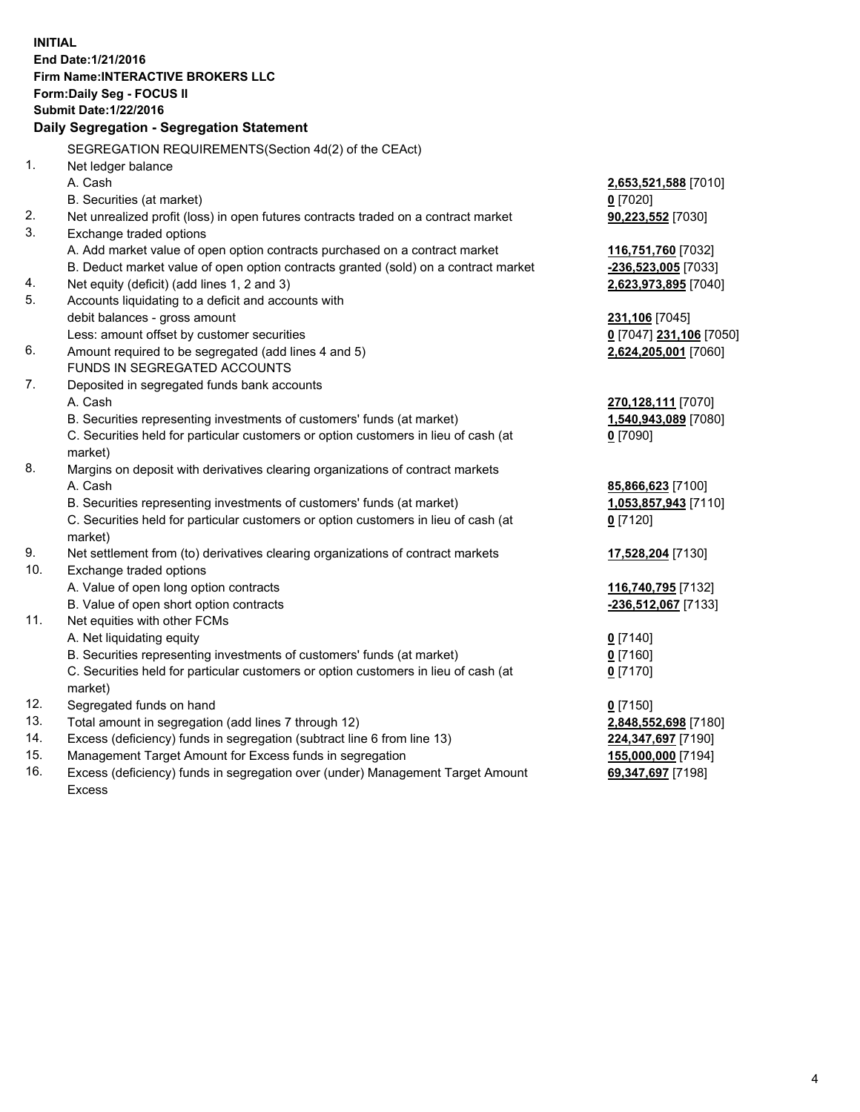**INITIAL End Date:1/21/2016 Firm Name:INTERACTIVE BROKERS LLC Form:Daily Seg - FOCUS II Submit Date:1/22/2016 Daily Segregation - Segregation Statement** SEGREGATION REQUIREMENTS(Section 4d(2) of the CEAct) 1. Net ledger balance A. Cash **2,653,521,588** [7010] B. Securities (at market) **0** [7020] 2. Net unrealized profit (loss) in open futures contracts traded on a contract market **90,223,552** [7030] 3. Exchange traded options A. Add market value of open option contracts purchased on a contract market **116,751,760** [7032] B. Deduct market value of open option contracts granted (sold) on a contract market **-236,523,005** [7033] 4. Net equity (deficit) (add lines 1, 2 and 3) **2,623,973,895** [7040] 5. Accounts liquidating to a deficit and accounts with debit balances - gross amount **231,106** [7045] Less: amount offset by customer securities **0** [7047] **231,106** [7050] 6. Amount required to be segregated (add lines 4 and 5) **2,624,205,001** [7060] FUNDS IN SEGREGATED ACCOUNTS 7. Deposited in segregated funds bank accounts A. Cash **270,128,111** [7070] B. Securities representing investments of customers' funds (at market) **1,540,943,089** [7080] C. Securities held for particular customers or option customers in lieu of cash (at market) **0** [7090] 8. Margins on deposit with derivatives clearing organizations of contract markets A. Cash **85,866,623** [7100] B. Securities representing investments of customers' funds (at market) **1,053,857,943** [7110] C. Securities held for particular customers or option customers in lieu of cash (at market) **0** [7120] 9. Net settlement from (to) derivatives clearing organizations of contract markets **17,528,204** [7130] 10. Exchange traded options A. Value of open long option contracts **116,740,795** [7132] B. Value of open short option contracts **-236,512,067** [7133] 11. Net equities with other FCMs A. Net liquidating equity **0** [7140] B. Securities representing investments of customers' funds (at market) **0** [7160] C. Securities held for particular customers or option customers in lieu of cash (at market) **0** [7170] 12. Segregated funds on hand **0** [7150] 13. Total amount in segregation (add lines 7 through 12) **2,848,552,698** [7180] 14. Excess (deficiency) funds in segregation (subtract line 6 from line 13) **224,347,697** [7190] 15. Management Target Amount for Excess funds in segregation **155,000,000** [7194]

16. Excess (deficiency) funds in segregation over (under) Management Target Amount Excess

**69,347,697** [7198]